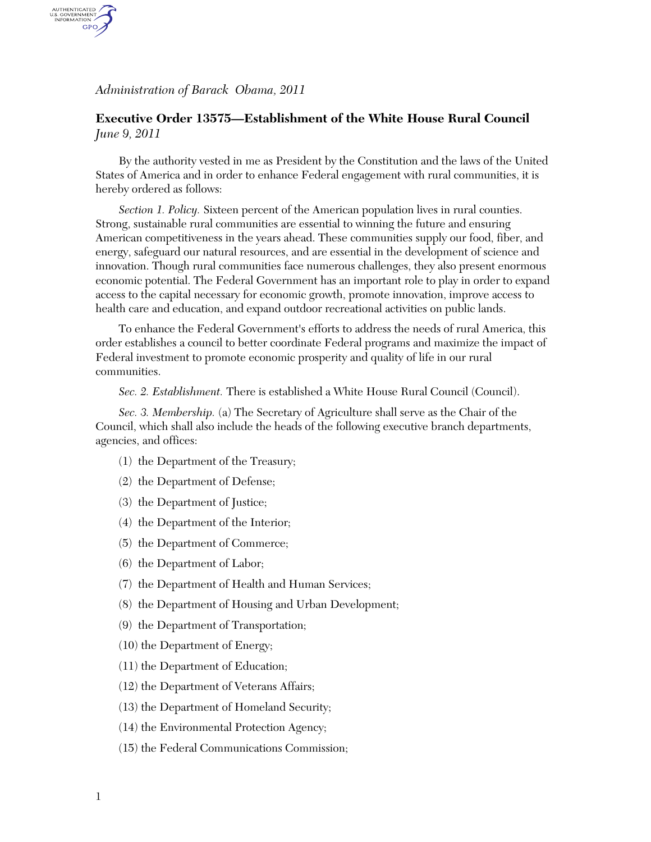*Administration of Barack Obama, 2011* 

AUTHENTICATED<br>U.S. GOVERNMENT<br>INFORMATION GPO.

## **Executive Order 13575—Establishment of the White House Rural Council**  *June 9, 2011*

By the authority vested in me as President by the Constitution and the laws of the United States of America and in order to enhance Federal engagement with rural communities, it is hereby ordered as follows:

*Section 1. Policy.* Sixteen percent of the American population lives in rural counties. Strong, sustainable rural communities are essential to winning the future and ensuring American competitiveness in the years ahead. These communities supply our food, fiber, and energy, safeguard our natural resources, and are essential in the development of science and innovation. Though rural communities face numerous challenges, they also present enormous economic potential. The Federal Government has an important role to play in order to expand access to the capital necessary for economic growth, promote innovation, improve access to health care and education, and expand outdoor recreational activities on public lands.

To enhance the Federal Government's efforts to address the needs of rural America, this order establishes a council to better coordinate Federal programs and maximize the impact of Federal investment to promote economic prosperity and quality of life in our rural communities.

*Sec. 2. Establishment.* There is established a White House Rural Council (Council).

*Sec. 3. Membership.* (a) The Secretary of Agriculture shall serve as the Chair of the Council, which shall also include the heads of the following executive branch departments, agencies, and offices:

- (1) the Department of the Treasury;
- (2) the Department of Defense;
- (3) the Department of Justice;
- (4) the Department of the Interior;
- (5) the Department of Commerce;
- (6) the Department of Labor;
- (7) the Department of Health and Human Services;
- (8) the Department of Housing and Urban Development;
- (9) the Department of Transportation;
- (10) the Department of Energy;
- (11) the Department of Education;
- (12) the Department of Veterans Affairs;
- (13) the Department of Homeland Security;
- (14) the Environmental Protection Agency;
- (15) the Federal Communications Commission;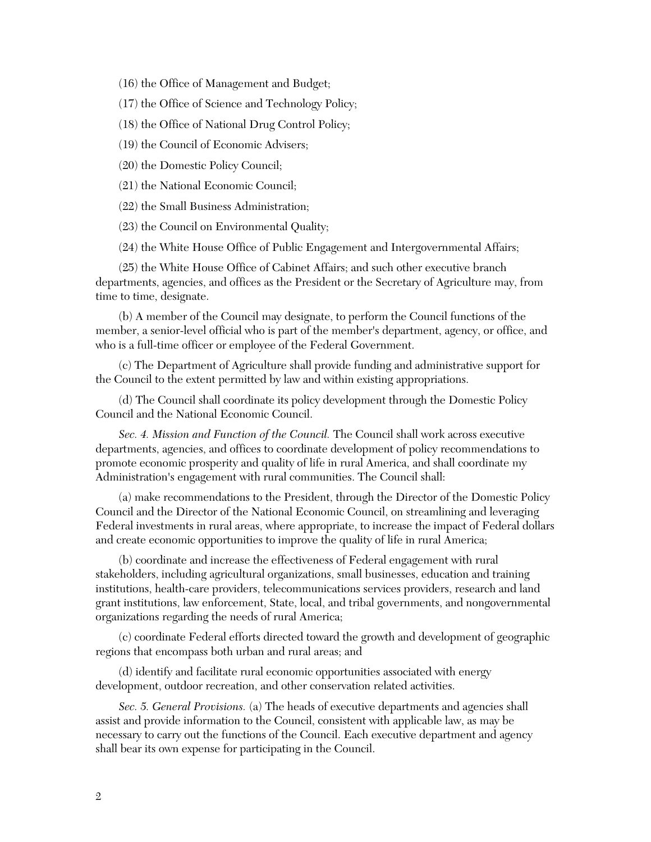(16) the Office of Management and Budget;

(17) the Office of Science and Technology Policy;

(18) the Office of National Drug Control Policy;

(19) the Council of Economic Advisers;

(20) the Domestic Policy Council;

(21) the National Economic Council;

(22) the Small Business Administration;

(23) the Council on Environmental Quality;

(24) the White House Office of Public Engagement and Intergovernmental Affairs;

(25) the White House Office of Cabinet Affairs; and such other executive branch departments, agencies, and offices as the President or the Secretary of Agriculture may, from time to time, designate.

(b) A member of the Council may designate, to perform the Council functions of the member, a senior-level official who is part of the member's department, agency, or office, and who is a full-time officer or employee of the Federal Government.

(c) The Department of Agriculture shall provide funding and administrative support for the Council to the extent permitted by law and within existing appropriations.

(d) The Council shall coordinate its policy development through the Domestic Policy Council and the National Economic Council.

*Sec. 4. Mission and Function of the Council.* The Council shall work across executive departments, agencies, and offices to coordinate development of policy recommendations to promote economic prosperity and quality of life in rural America, and shall coordinate my Administration's engagement with rural communities. The Council shall:

(a) make recommendations to the President, through the Director of the Domestic Policy Council and the Director of the National Economic Council, on streamlining and leveraging Federal investments in rural areas, where appropriate, to increase the impact of Federal dollars and create economic opportunities to improve the quality of life in rural America;

(b) coordinate and increase the effectiveness of Federal engagement with rural stakeholders, including agricultural organizations, small businesses, education and training institutions, health-care providers, telecommunications services providers, research and land grant institutions, law enforcement, State, local, and tribal governments, and nongovernmental organizations regarding the needs of rural America;

(c) coordinate Federal efforts directed toward the growth and development of geographic regions that encompass both urban and rural areas; and

(d) identify and facilitate rural economic opportunities associated with energy development, outdoor recreation, and other conservation related activities.

*Sec. 5. General Provisions.* (a) The heads of executive departments and agencies shall assist and provide information to the Council, consistent with applicable law, as may be necessary to carry out the functions of the Council. Each executive department and agency shall bear its own expense for participating in the Council.